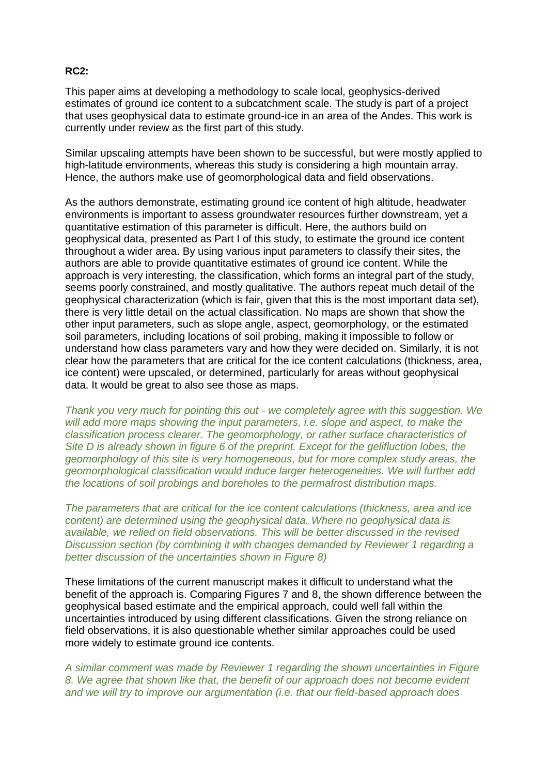## **RC2:**

This paper aims at developing a methodology to scale local, geophysics-derived estimates of ground ice content to a subcatchment scale. The study is part of a project that uses geophysical data to estimate ground-ice in an area of the Andes. This work is currently under review as the first part of this study.

Similar upscaling attempts have been shown to be successful, but were mostly applied to high-latitude environments, whereas this study is considering a high mountain array. Hence, the authors make use of geomorphological data and field observations.

As the authors demonstrate, estimating ground ice content of high altitude, headwater environments is important to assess groundwater resources further downstream, yet a quantitative estimation of this parameter is difficult. Here, the authors build on geophysical data, presented as Part I of this study, to estimate the ground ice content throughout a wider area. By using various input parameters to classify their sites, the authors are able to provide quantitative estimates of ground ice content. While the approach is very interesting, the classification, which forms an integral part of the study, seems poorly constrained, and mostly qualitative. The authors repeat much detail of the geophysical characterization (which is fair, given that this is the most important data set), there is very little detail on the actual classification. No maps are shown that show the other input parameters, such as slope angle, aspect, geomorphology, or the estimated soil parameters, including locations of soil probing, making it impossible to follow or understand how class parameters vary and how they were decided on. Similarly, it is not clear how the parameters that are critical for the ice content calculations (thickness, area, ice content) were upscaled, or determined, particularly for areas without geophysical data. It would be great to also see those as maps.

*Thank you very much for pointing this out - we completely agree with this suggestion. We will add more maps showing the input parameters, i.e. slope and aspect, to make the classification process clearer. The geomorphology, or rather surface characteristics of Site D is already shown in figure 6 of the preprint. Except for the gelifluction lobes, the geomorphology of this site is very homogeneous, but for more complex study areas, the geomorphological classification would induce larger heterogeneities. We will further add the locations of soil probings and boreholes to the permafrost distribution maps.* 

*The parameters that are critical for the ice content calculations (thickness, area and ice content) are determined using the geophysical data. Where no geophysical data is available, we relied on field observations. This will be better discussed in the revised Discussion section (by combining it with changes demanded by Reviewer 1 regarding a better discussion of the uncertainties shown in Figure 8)*

These limitations of the current manuscript makes it difficult to understand what the benefit of the approach is. Comparing Figures 7 and 8, the shown difference between the geophysical based estimate and the empirical approach, could well fall within the uncertainties introduced by using different classifications. Given the strong reliance on field observations, it is also questionable whether similar approaches could be used more widely to estimate ground ice contents.

*A similar comment was made by Reviewer 1 regarding the shown uncertainties in Figure 8. We agree that shown like that, the benefit of our approach does not become evident and we will try to improve our argumentation (i.e. that our field-based approach does*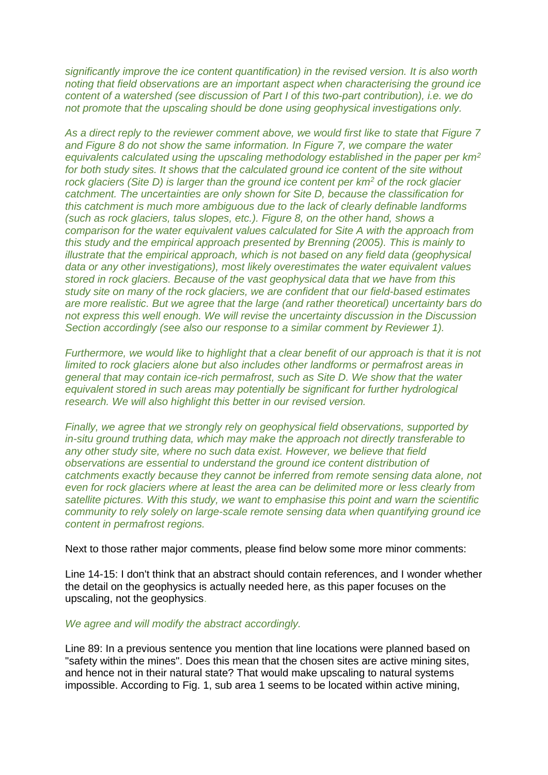*significantly improve the ice content quantification) in the revised version. It is also worth noting that field observations are an important aspect when characterising the ground ice content of a watershed (see discussion of Part I of this two-part contribution), i.e. we do not promote that the upscaling should be done using geophysical investigations only.*

*As a direct reply to the reviewer comment above, we would first like to state that Figure 7 and Figure 8 do not show the same information. In Figure 7, we compare the water equivalents calculated using the upscaling methodology established in the paper per km<sup>2</sup> for both study sites. It shows that the calculated ground ice content of the site without rock glaciers (Site D) is larger than the ground ice content per km<sup>2</sup> of the rock glacier catchment. The uncertainties are only shown for Site D, because the classification for this catchment is much more ambiguous due to the lack of clearly definable landforms (such as rock glaciers, talus slopes, etc.). Figure 8, on the other hand, shows a comparison for the water equivalent values calculated for Site A with the approach from this study and the empirical approach presented by Brenning (2005). This is mainly to illustrate that the empirical approach, which is not based on any field data (geophysical data or any other investigations), most likely overestimates the water equivalent values stored in rock glaciers. Because of the vast geophysical data that we have from this study site on many of the rock glaciers, we are confident that our field-based estimates are more realistic. But we agree that the large (and rather theoretical) uncertainty bars do not express this well enough. We will revise the uncertainty discussion in the Discussion Section accordingly (see also our response to a similar comment by Reviewer 1).*

*Furthermore, we would like to highlight that a clear benefit of our approach is that it is not limited to rock glaciers alone but also includes other landforms or permafrost areas in general that may contain ice-rich permafrost, such as Site D. We show that the water equivalent stored in such areas may potentially be significant for further hydrological research. We will also highlight this better in our revised version.*

*Finally, we agree that we strongly rely on geophysical field observations, supported by in-situ ground truthing data, which may make the approach not directly transferable to any other study site, where no such data exist. However, we believe that field observations are essential to understand the ground ice content distribution of catchments exactly because they cannot be inferred from remote sensing data alone, not even for rock glaciers where at least the area can be delimited more or less clearly from satellite pictures. With this study, we want to emphasise this point and warn the scientific community to rely solely on large-scale remote sensing data when quantifying ground ice content in permafrost regions.* 

Next to those rather major comments, please find below some more minor comments:

Line 14-15: I don't think that an abstract should contain references, and I wonder whether the detail on the geophysics is actually needed here, as this paper focuses on the upscaling, not the geophysics.

## *We agree and will modify the abstract accordingly.*

Line 89: In a previous sentence you mention that line locations were planned based on "safety within the mines". Does this mean that the chosen sites are active mining sites, and hence not in their natural state? That would make upscaling to natural systems impossible. According to Fig. 1, sub area 1 seems to be located within active mining,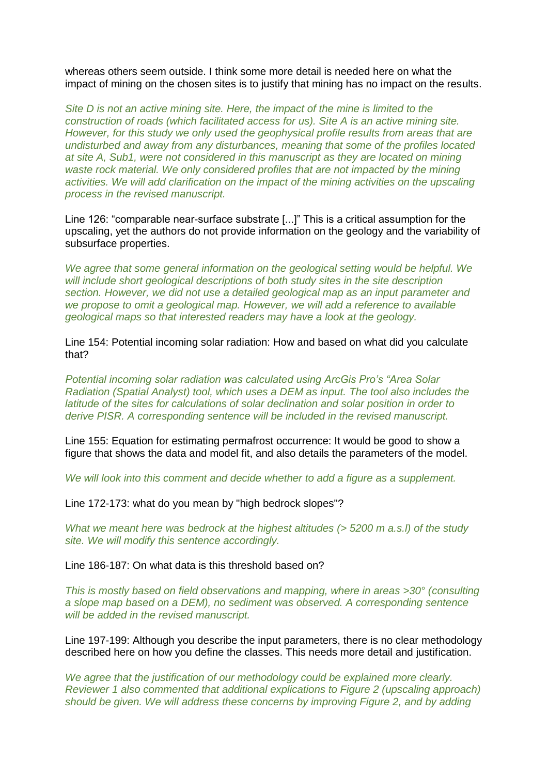whereas others seem outside. I think some more detail is needed here on what the impact of mining on the chosen sites is to justify that mining has no impact on the results.

*Site D is not an active mining site. Here, the impact of the mine is limited to the construction of roads (which facilitated access for us). Site A is an active mining site. However, for this study we only used the geophysical profile results from areas that are undisturbed and away from any disturbances, meaning that some of the profiles located at site A, Sub1, were not considered in this manuscript as they are located on mining waste rock material. We only considered profiles that are not impacted by the mining activities. We will add clarification on the impact of the mining activities on the upscaling process in the revised manuscript.*

Line 126: "comparable near-surface substrate [...]" This is a critical assumption for the upscaling, yet the authors do not provide information on the geology and the variability of subsurface properties.

*We agree that some general information on the geological setting would be helpful. We will include short geological descriptions of both study sites in the site description section. However, we did not use a detailed geological map as an input parameter and we propose to omit a geological map. However, we will add a reference to available geological maps so that interested readers may have a look at the geology.*

Line 154: Potential incoming solar radiation: How and based on what did you calculate that?

*Potential incoming solar radiation was calculated using ArcGis Pro's "Area Solar Radiation (Spatial Analyst) tool, which uses a DEM as input. The tool also includes the latitude of the sites for calculations of solar declination and solar position in order to derive PISR. A corresponding sentence will be included in the revised manuscript.*

Line 155: Equation for estimating permafrost occurrence: It would be good to show a figure that shows the data and model fit, and also details the parameters of the model.

*We will look into this comment and decide whether to add a figure as a supplement.*

Line 172-173: what do you mean by "high bedrock slopes"?

*What we meant here was bedrock at the highest altitudes (> 5200 m a.s.l) of the study site. We will modify this sentence accordingly.*

Line 186-187: On what data is this threshold based on?

*This is mostly based on field observations and mapping, where in areas >30° (consulting a slope map based on a DEM), no sediment was observed. A corresponding sentence will be added in the revised manuscript.*

Line 197-199: Although you describe the input parameters, there is no clear methodology described here on how you define the classes. This needs more detail and justification.

*We agree that the justification of our methodology could be explained more clearly. Reviewer 1 also commented that additional explications to Figure 2 (upscaling approach) should be given. We will address these concerns by improving Figure 2, and by adding*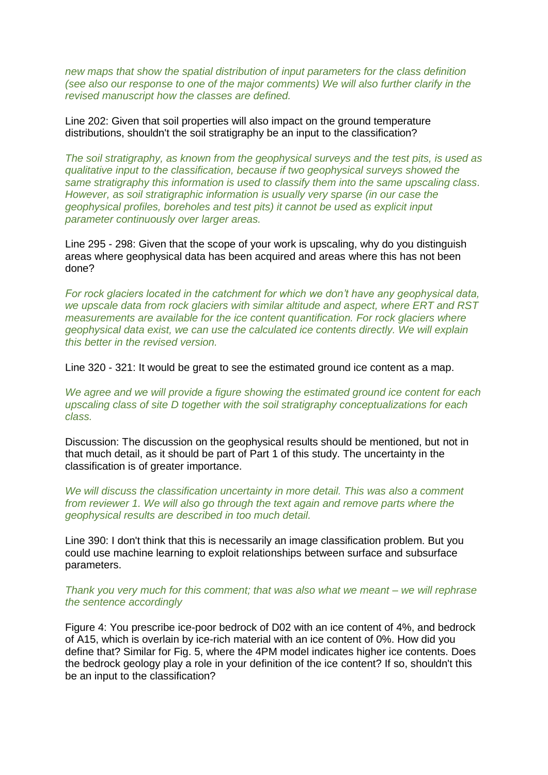*new maps that show the spatial distribution of input parameters for the class definition (see also our response to one of the major comments) We will also further clarify in the revised manuscript how the classes are defined.*

Line 202: Given that soil properties will also impact on the ground temperature distributions, shouldn't the soil stratigraphy be an input to the classification?

*The soil stratigraphy, as known from the geophysical surveys and the test pits, is used as qualitative input to the classification, because if two geophysical surveys showed the same stratigraphy this information is used to classify them into the same upscaling class. However, as soil stratigraphic information is usually very sparse (in our case the geophysical profiles, boreholes and test pits) it cannot be used as explicit input parameter continuously over larger areas.*

Line 295 - 298: Given that the scope of your work is upscaling, why do you distinguish areas where geophysical data has been acquired and areas where this has not been done?

*For rock glaciers located in the catchment for which we don't have any geophysical data, we upscale data from rock glaciers with similar altitude and aspect, where ERT and RST measurements are available for the ice content quantification. For rock glaciers where geophysical data exist, we can use the calculated ice contents directly. We will explain this better in the revised version.*

Line 320 - 321: It would be great to see the estimated ground ice content as a map.

*We agree and we will provide a figure showing the estimated ground ice content for each upscaling class of site D together with the soil stratigraphy conceptualizations for each class.* 

Discussion: The discussion on the geophysical results should be mentioned, but not in that much detail, as it should be part of Part 1 of this study. The uncertainty in the classification is of greater importance.

*We will discuss the classification uncertainty in more detail. This was also a comment from reviewer 1. We will also go through the text again and remove parts where the geophysical results are described in too much detail.* 

Line 390: I don't think that this is necessarily an image classification problem. But you could use machine learning to exploit relationships between surface and subsurface parameters.

*Thank you very much for this comment; that was also what we meant – we will rephrase the sentence accordingly*

Figure 4: You prescribe ice-poor bedrock of D02 with an ice content of 4%, and bedrock of A15, which is overlain by ice-rich material with an ice content of 0%. How did you define that? Similar for Fig. 5, where the 4PM model indicates higher ice contents. Does the bedrock geology play a role in your definition of the ice content? If so, shouldn't this be an input to the classification?